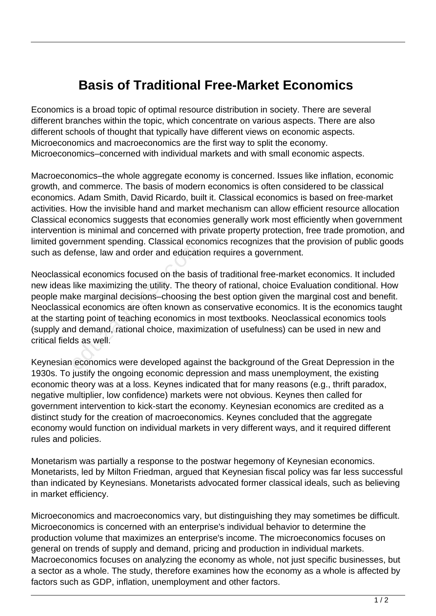## **Basis of Traditional Free-Market Economics**

Economics is a broad topic of optimal resource distribution in society. There are several different branches within the topic, which concentrate on various aspects. There are also different schools of thought that typically have different views on economic aspects. Microeconomics and macroeconomics are the first way to split the economy. Microeconomics–concerned with individual markets and with small economic aspects.

Macroeconomics–the whole aggregate economy is concerned. Issues like inflation, economic growth, and commerce. The basis of modern economics is often considered to be classical economics. Adam Smith, David Ricardo, built it. Classical economics is based on free-market activities. How the invisible hand and market mechanism can allow efficient resource allocation Classical economics suggests that economies generally work most efficiently when government intervention is minimal and concerned with private property protection, free trade promotion, and limited government spending. Classical economics recognizes that the provision of public goods such as defense, law and order and education requires a government.

Neoclassical economics focused on the basis of traditional free-market economics. It included new ideas like maximizing the utility. The theory of rational, choice Evaluation conditional. How people make marginal decisions–choosing the best option given the marginal cost and benefit. Neoclassical economics are often known as conservative economics. It is the economics taught at the starting point of teaching economics in most textbooks. Neoclassical economics tools (supply and demand, rational choice, maximization of usefulness) can be used in new and critical fields as well. Frame of prototyle and educations<br>fense, law and order and educational economics focused on the base<br>like maximizing the utility. The the<br>ke marginal decisions—choosing that<br>cal economics are often known as<br>ing point of te

Keynesian economics were developed against the background of the Great Depression in the 1930s. To justify the ongoing economic depression and mass unemployment, the existing economic theory was at a loss. Keynes indicated that for many reasons (e.g., thrift paradox, negative multiplier, low confidence) markets were not obvious. Keynes then called for government intervention to kick-start the economy. Keynesian economics are credited as a distinct study for the creation of macroeconomics. Keynes concluded that the aggregate economy would function on individual markets in very different ways, and it required different rules and policies.

Monetarism was partially a response to the postwar hegemony of Keynesian economics. Monetarists, led by Milton Friedman, argued that Keynesian fiscal policy was far less successful than indicated by Keynesians. Monetarists advocated former classical ideals, such as believing in market efficiency.

Microeconomics and macroeconomics vary, but distinguishing they may sometimes be difficult. Microeconomics is concerned with an enterprise's individual behavior to determine the production volume that maximizes an enterprise's income. The microeconomics focuses on general on trends of supply and demand, pricing and production in individual markets. Macroeconomics focuses on analyzing the economy as whole, not just specific businesses, but a sector as a whole. The study, therefore examines how the economy as a whole is affected by factors such as GDP, inflation, unemployment and other factors.